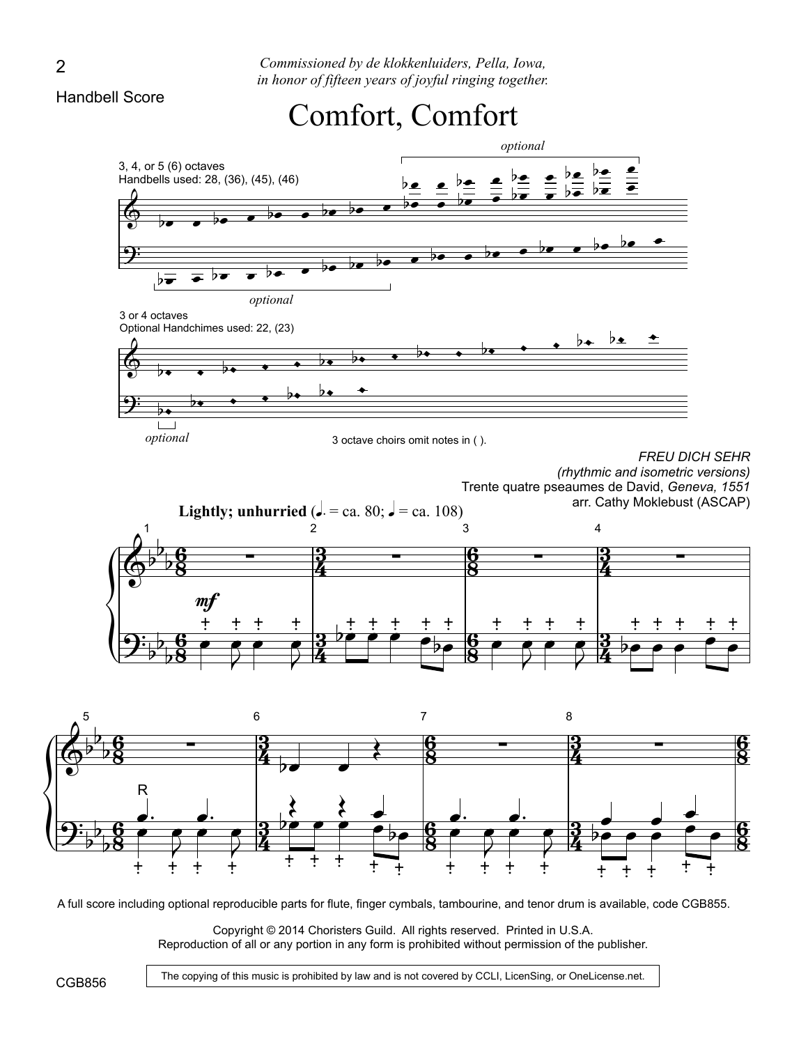## Handbell Score

 $3, 4,$  or  $5(6)$  octaves



 $e \not\equiv$  :  $\frac{1}{\bullet}$  be  $\frac{1}{\bullet}$ 

 $\bar{z}$   $\bar{z}$  $b_{\bullet}$  1

 $\frac{\partial \underline{\div} \underline{\div}}{\partial \underline{\div}}$  $\equiv$ 







A full score including optional reproducible parts for flute, finger cymbals, tambourine, and tenor drum is available, code CGB855.

Copyright © 2014 Choristers Guild. All rights reserved. Printed in U.S.A. Reproduction of all or any portion in any form is prohibited without permission of the publisher.

CGB856

The copying of this music is prohibited by law and is not covered by CCLI, LicenSing, or OneLicense.net.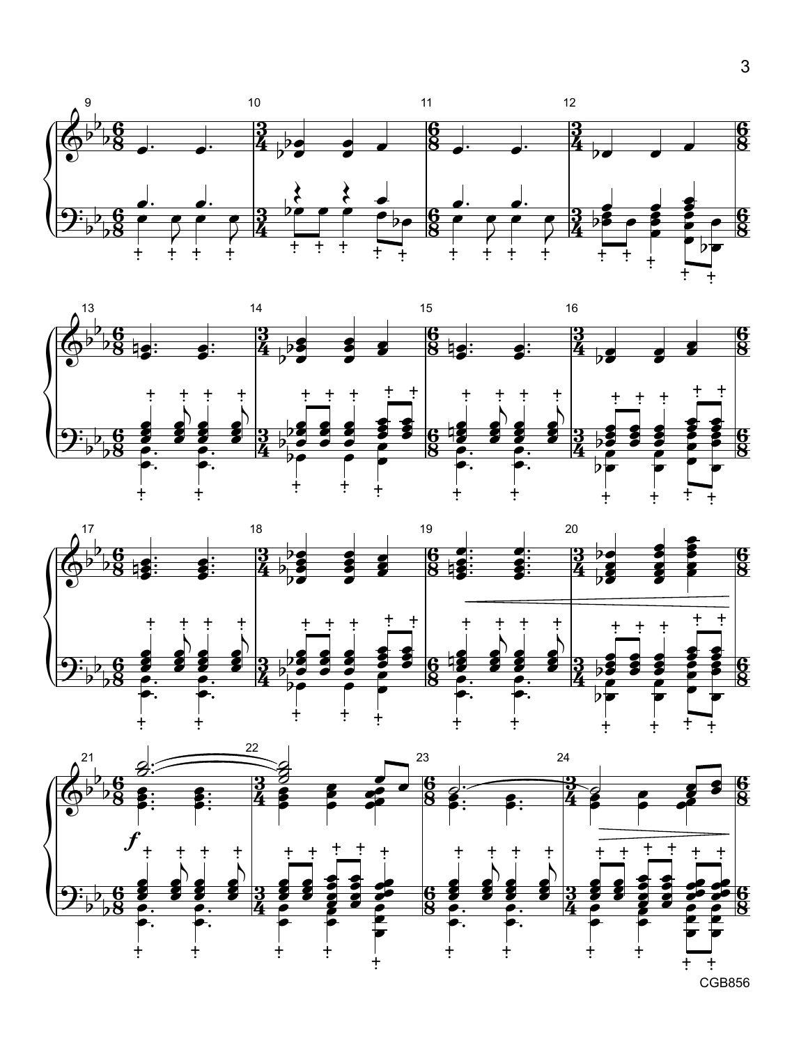







3

CGB856